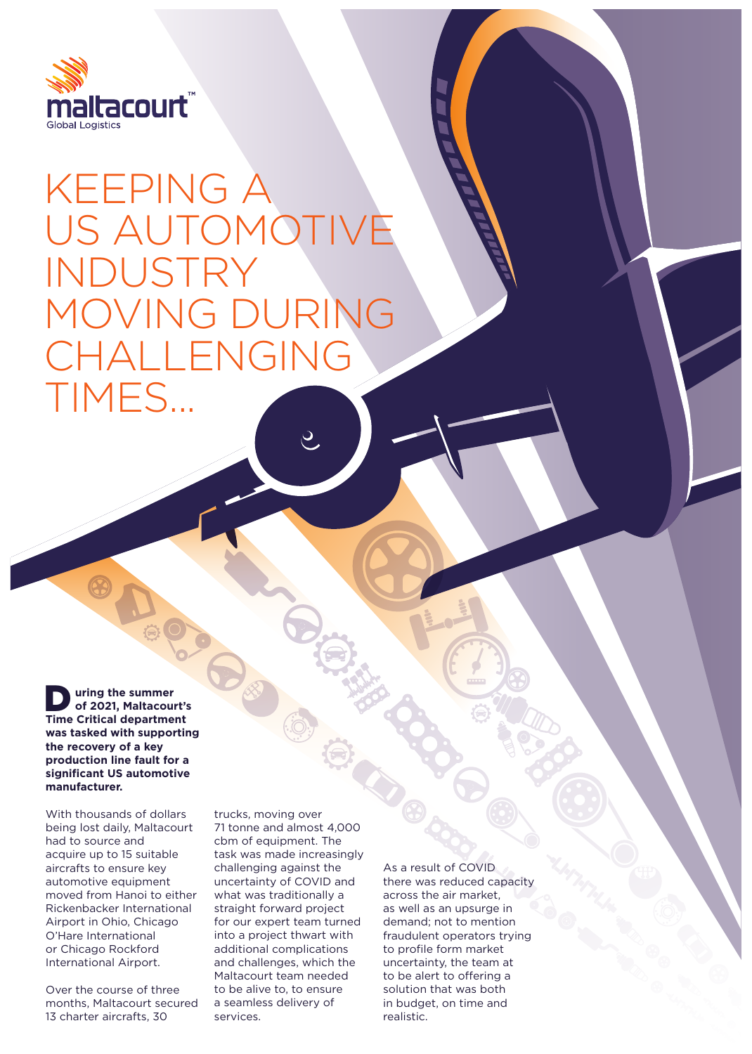

## KEEPING A US AUTOM INDUSTRY MOVING DURING CHALLENGING TIMES...

**Time Critical department**<br>
Time Critical department  **uring the summer of 2021, Maltacourt's was tasked with supporting the recovery of a key production line fault for a significant US automotive manufacturer.** 

With thousands of dollars being lost daily, Maltacourt had to source and acquire up to 15 suitable aircrafts to ensure key automotive equipment moved from Hanoi to either Rickenbacker International Airport in Ohio, Chicago O'Hare International or Chicago Rockford International Airport.

Over the course of three months, Maltacourt secured 13 charter aircrafts, 30

trucks, moving over 71 tonne and almost 4,000 cbm of equipment. The task was made increasingly challenging against the uncertainty of COVID and what was traditionally a straight forward project for our expert team turned into a project thwart with additional complications and challenges, which the Maltacourt team needed to be alive to, to ensure a seamless delivery of services.

As a result of COVID there was reduced capacity across the air market, as well as an upsurge in demand; not to mention fraudulent operators trying to profile form market uncertainty, the team at to be alert to offering a solution that was both in budget, on time and realistic.